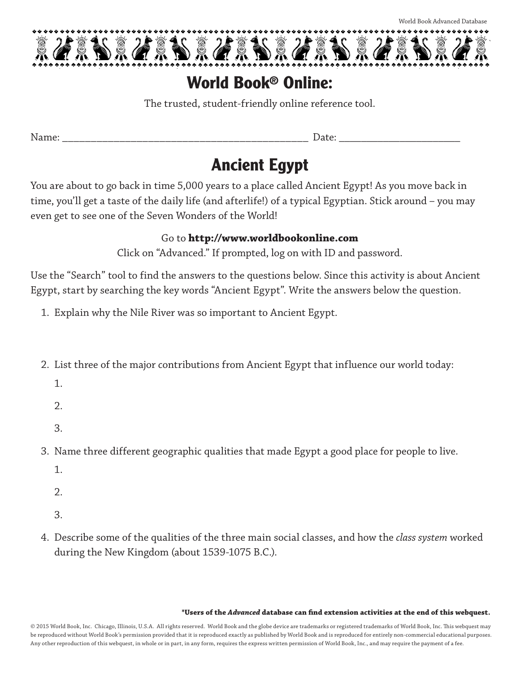

## **World Book**® **Online:**

The trusted, student-friendly online reference tool.

Name: \_\_\_\_\_\_\_\_\_\_\_\_\_\_\_\_\_\_\_\_\_\_\_\_\_\_\_\_\_\_\_\_\_\_\_\_\_\_\_\_\_\_\_ Date: \_\_\_\_\_\_\_\_\_\_\_\_\_\_\_\_\_\_\_\_\_\_

# **Ancient Egypt**

You are about to go back in time 5,000 years to a place called Ancient Egypt! As you move back in time, you'll get a taste of the daily life (and afterlife!) of a typical Egyptian. Stick around – you may even get to see one of the Seven Wonders of the World!

#### Go to **http://www.worldbookonline.com**

Click on "Advanced." If prompted, log on with ID and password.

Use the "Search" tool to find the answers to the questions below. Since this activity is about Ancient Egypt, start by searching the key words "Ancient Egypt". Write the answers below the question.

- 1. Explain why the Nile River was so important to Ancient Egypt.
- 2. List three of the major contributions from Ancient Egypt that influence our world today:
	- 1.
	- 2.
	- 3.
- 3. Name three different geographic qualities that made Egypt a good place for people to live.
	- 1.
	- 2.
	- 3.
- 4. Describe some of the qualities of the three main social classes, and how the *class system* worked during the New Kingdom (about 1539-1075 B.C.).

#### **\*Users of the** *Advanced* **database can find extension activities at the end of this webquest.**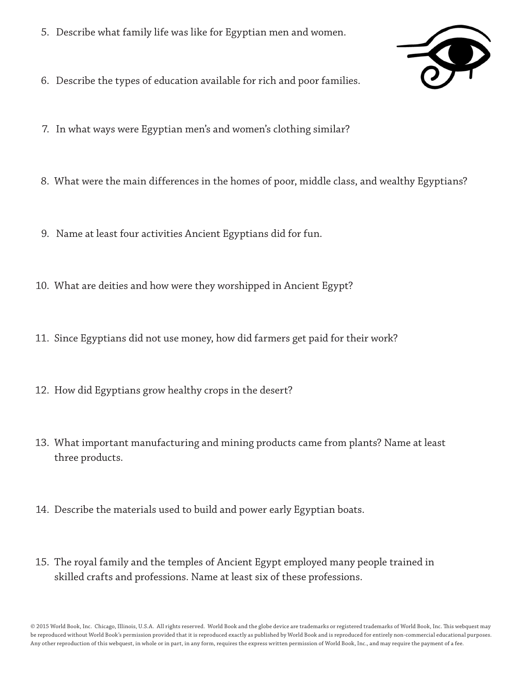- 5. Describe what family life was like for Egyptian men and women.
- 6. Describe the types of education available for rich and poor families.

7. In what ways were Egyptian men's and women's clothing similar?

- 8. What were the main differences in the homes of poor, middle class, and wealthy Egyptians?
- 9. Name at least four activities Ancient Egyptians did for fun.
- 10. What are deities and how were they worshipped in Ancient Egypt?
- 11. Since Egyptians did not use money, how did farmers get paid for their work?
- 12. How did Egyptians grow healthy crops in the desert?
- 13. What important manufacturing and mining products came from plants? Name at least three products.
- 14. Describe the materials used to build and power early Egyptian boats.
- 15. The royal family and the temples of Ancient Egypt employed many people trained in skilled crafts and professions. Name at least six of these professions.

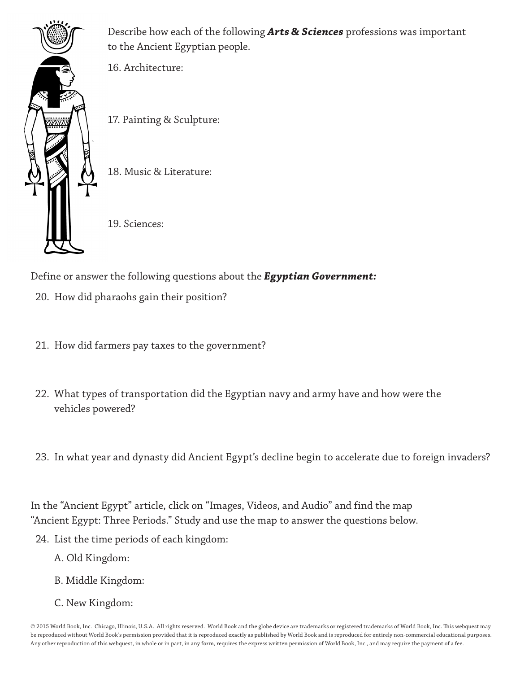

Describe how each of the following *Arts & Sciences* professions was important to the Ancient Egyptian people.

16. Architecture:

17. Painting & Sculpture:

18. Music & Literature:

19. Sciences:

Define or answer the following questions about the *Egyptian Government:*

- 20. How did pharaohs gain their position?
- 21. How did farmers pay taxes to the government?
- 22. What types of transportation did the Egyptian navy and army have and how were the vehicles powered?
- 23. In what year and dynasty did Ancient Egypt's decline begin to accelerate due to foreign invaders?

In the "Ancient Egypt" article, click on "Images, Videos, and Audio" and find the map "Ancient Egypt: Three Periods." Study and use the map to answer the questions below.

- 24. List the time periods of each kingdom:
	- A. Old Kingdom:
	- B. Middle Kingdom:
	- C. New Kingdom: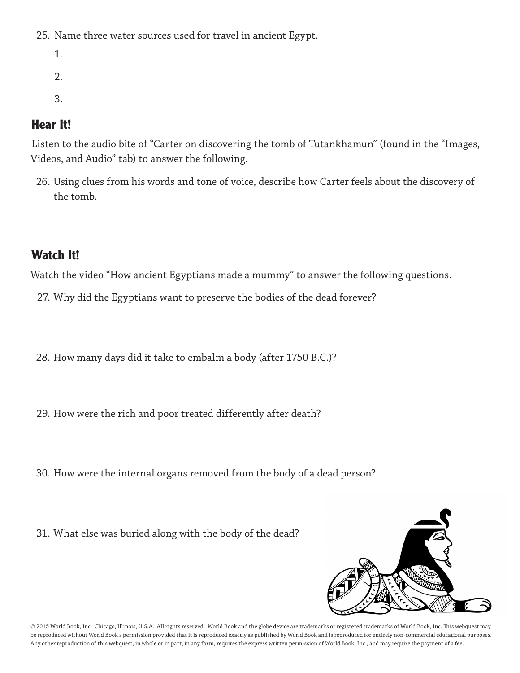25. Name three water sources used for travel in ancient Egypt.

- 1.
- $2<sub>1</sub>$
- 
- 3.

## **Hear It!**

Listen to the audio bite of "Carter on discovering the tomb of Tutankhamun" (found in the "Images, Videos, and Audio" tab) to answer the following.

26. Using clues from his words and tone of voice, describe how Carter feels about the discovery of the tomb.

## **Watch It!**

Watch the video "How ancient Egyptians made a mummy" to answer the following questions.

- 27. Why did the Egyptians want to preserve the bodies of the dead forever?
- 28. How many days did it take to embalm a body (after 1750 B.C.)?
- 29. How were the rich and poor treated differently after death?
- 30. How were the internal organs removed from the body of a dead person?
- 31. What else was buried along with the body of the dead?

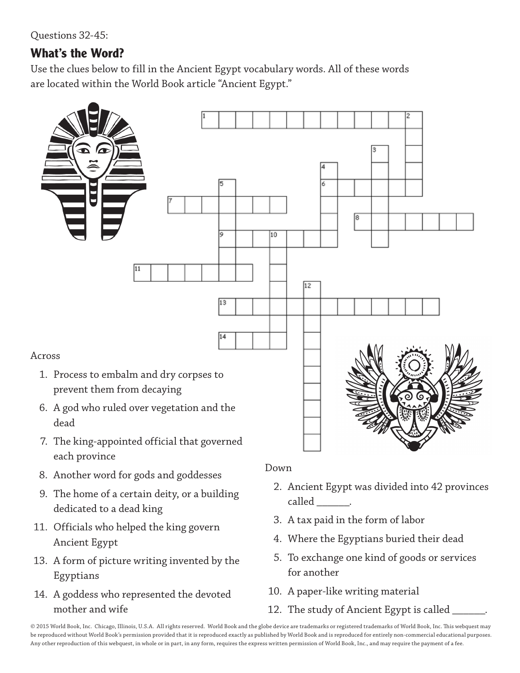Questions 32-45:

### **What's the Word?**

Use the clues below to fill in the Ancient Egypt vocabulary words. All of these words are located within the World Book article "Ancient Egypt."



- 8. Another word for gods and goddesses
- 9. The home of a certain deity, or a building dedicated to a dead king
- 11. Officials who helped the king govern Ancient Egypt
- 13. A form of picture writing invented by the Egyptians
- 14. A goddess who represented the devoted mother and wife

Down

- 2. Ancient Egypt was divided into 42 provinces called .
- 3. A tax paid in the form of labor
- 4. Where the Egyptians buried their dead
- 5. To exchange one kind of goods or services for another
- 10. A paper-like writing material
- 12. The study of Ancient Egypt is called \_\_\_\_\_\_.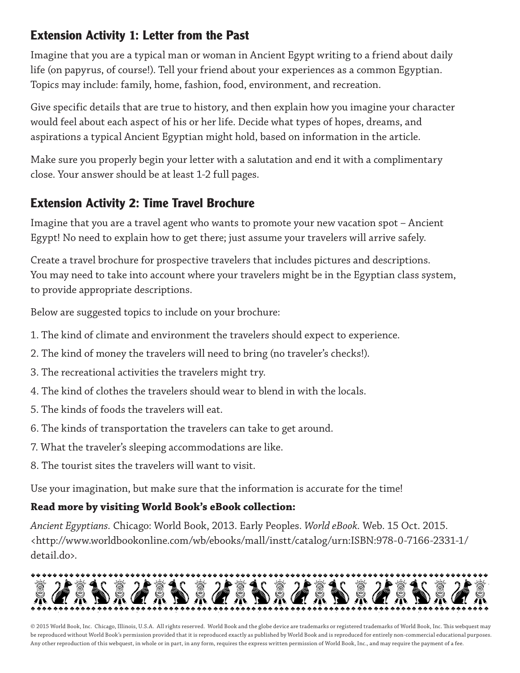### **Extension Activity 1: Letter from the Past**

Imagine that you are a typical man or woman in Ancient Egypt writing to a friend about daily life (on papyrus, of course!). Tell your friend about your experiences as a common Egyptian. Topics may include: family, home, fashion, food, environment, and recreation.

Give specific details that are true to history, and then explain how you imagine your character would feel about each aspect of his or her life. Decide what types of hopes, dreams, and aspirations a typical Ancient Egyptian might hold, based on information in the article.

Make sure you properly begin your letter with a salutation and end it with a complimentary close. Your answer should be at least 1-2 full pages.

### **Extension Activity 2: Time Travel Brochure**

Imagine that you are a travel agent who wants to promote your new vacation spot – Ancient Egypt! No need to explain how to get there; just assume your travelers will arrive safely.

Create a travel brochure for prospective travelers that includes pictures and descriptions. You may need to take into account where your travelers might be in the Egyptian class system, to provide appropriate descriptions.

Below are suggested topics to include on your brochure:

- 1. The kind of climate and environment the travelers should expect to experience.
- 2. The kind of money the travelers will need to bring (no traveler's checks!).
- 3. The recreational activities the travelers might try.
- 4. The kind of clothes the travelers should wear to blend in with the locals.
- 5. The kinds of foods the travelers will eat.
- 6. The kinds of transportation the travelers can take to get around.
- 7. What the traveler's sleeping accommodations are like.
- 8. The tourist sites the travelers will want to visit.

Use your imagination, but make sure that the information is accurate for the time!

#### **Read more by visiting World Book's eBook collection:**

*Ancient Egyptians.* Chicago: World Book, 2013. Early Peoples. *World eBook.* Web. 15 Oct. 2015. <http://www.worldbookonline.com/wb/ebooks/mall/instt/catalog/urn:ISBN:978-0-7166-2331-1/ detail.do>.

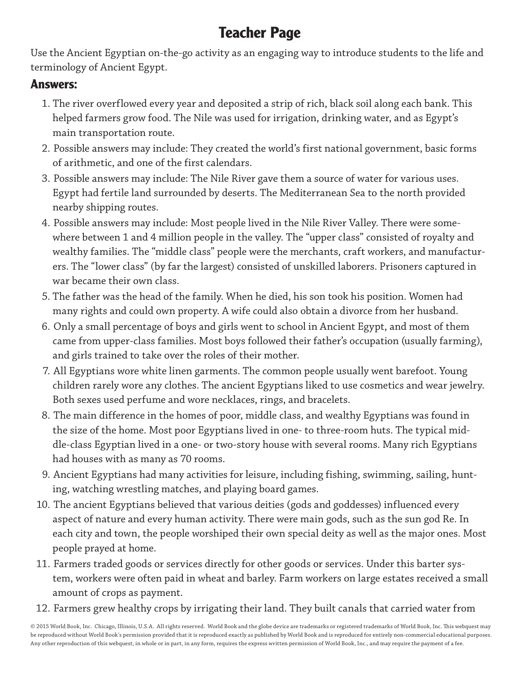## **Teacher Page**

Use the Ancient Egyptian on-the-go activity as an engaging way to introduce students to the life and terminology of Ancient Egypt.

#### **Answers:**

- 1. The river overflowed every year and deposited a strip of rich, black soil along each bank. This helped farmers grow food. The Nile was used for irrigation, drinking water, and as Egypt's main transportation route.
- 2. Possible answers may include: They created the world's first national government, basic forms of arithmetic, and one of the first calendars.
- 3. Possible answers may include: The Nile River gave them a source of water for various uses. Egypt had fertile land surrounded by deserts. The Mediterranean Sea to the north provided nearby shipping routes.
- 4. Possible answers may include: Most people lived in the Nile River Valley. There were somewhere between 1 and 4 million people in the valley. The "upper class" consisted of royalty and wealthy families. The "middle class" people were the merchants, craft workers, and manufacturers. The "lower class" (by far the largest) consisted of unskilled laborers. Prisoners captured in war became their own class.
- 5. The father was the head of the family. When he died, his son took his position. Women had many rights and could own property. A wife could also obtain a divorce from her husband.
- 6. Only a small percentage of boys and girls went to school in Ancient Egypt, and most of them came from upper-class families. Most boys followed their father's occupation (usually farming), and girls trained to take over the roles of their mother.
- 7. All Egyptians wore white linen garments. The common people usually went barefoot. Young children rarely wore any clothes. The ancient Egyptians liked to use cosmetics and wear jewelry. Both sexes used perfume and wore necklaces, rings, and bracelets.
- 8. The main difference in the homes of poor, middle class, and wealthy Egyptians was found in the size of the home. Most poor Egyptians lived in one- to three-room huts. The typical middle-class Egyptian lived in a one- or two-story house with several rooms. Many rich Egyptians had houses with as many as 70 rooms.
- 9. Ancient Egyptians had many activities for leisure, including fishing, swimming, sailing, hunting, watching wrestling matches, and playing board games.
- 10. The ancient Egyptians believed that various deities (gods and goddesses) influenced every aspect of nature and every human activity. There were main gods, such as the sun god Re. In each city and town, the people worshiped their own special deity as well as the major ones. Most people prayed at home.
- 11. Farmers traded goods or services directly for other goods or services. Under this barter system, workers were often paid in wheat and barley. Farm workers on large estates received a small amount of crops as payment.
- 12. Farmers grew healthy crops by irrigating their land. They built canals that carried water from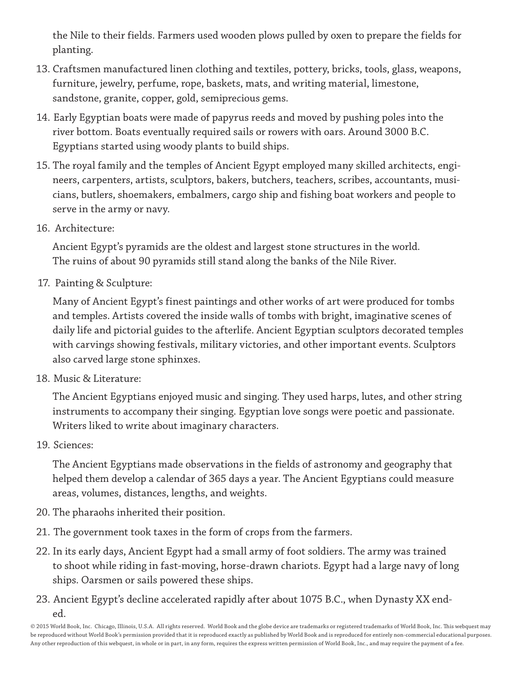the Nile to their fields. Farmers used wooden plows pulled by oxen to prepare the fields for planting.

- 13. Craftsmen manufactured linen clothing and textiles, pottery, bricks, tools, glass, weapons, furniture, jewelry, perfume, rope, baskets, mats, and writing material, limestone, sandstone, granite, copper, gold, semiprecious gems.
- 14. Early Egyptian boats were made of papyrus reeds and moved by pushing poles into the river bottom. Boats eventually required sails or rowers with oars. Around 3000 B.C. Egyptians started using woody plants to build ships.
- 15. The royal family and the temples of Ancient Egypt employed many skilled architects, engineers, carpenters, artists, sculptors, bakers, butchers, teachers, scribes, accountants, musicians, butlers, shoemakers, embalmers, cargo ship and fishing boat workers and people to serve in the army or navy.
- 16. Architecture:

 Ancient Egypt's pyramids are the oldest and largest stone structures in the world. The ruins of about 90 pyramids still stand along the banks of the Nile River.

17. Painting & Sculpture:

 Many of Ancient Egypt's finest paintings and other works of art were produced for tombs and temples. Artists covered the inside walls of tombs with bright, imaginative scenes of daily life and pictorial guides to the afterlife. Ancient Egyptian sculptors decorated temples with carvings showing festivals, military victories, and other important events. Sculptors also carved large stone sphinxes.

18. Music & Literature:

 The Ancient Egyptians enjoyed music and singing. They used harps, lutes, and other string instruments to accompany their singing. Egyptian love songs were poetic and passionate. Writers liked to write about imaginary characters.

19. Sciences:

 The Ancient Egyptians made observations in the fields of astronomy and geography that helped them develop a calendar of 365 days a year. The Ancient Egyptians could measure areas, volumes, distances, lengths, and weights.

- 20. The pharaohs inherited their position.
- 21. The government took taxes in the form of crops from the farmers.
- 22. In its early days, Ancient Egypt had a small army of foot soldiers. The army was trained to shoot while riding in fast-moving, horse-drawn chariots. Egypt had a large navy of long ships. Oarsmen or sails powered these ships.
- 23. Ancient Egypt's decline accelerated rapidly after about 1075 B.C., when Dynasty XX ended.